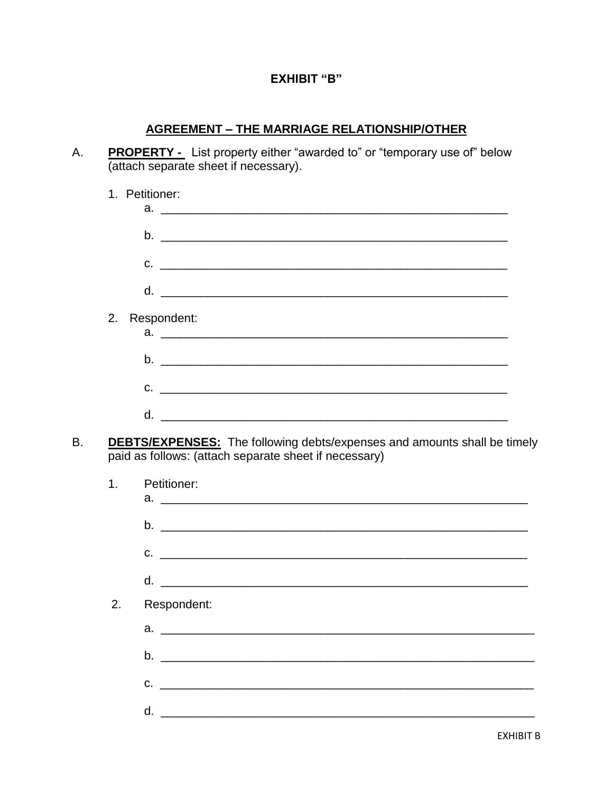## **EXHIBIT "B"**

## **AGREEMENT - THE MARRIAGE RELATIONSHIP/OTHER**

**PROPERTY** - List property either "awarded to" or "temporary use of" below (attach separate sheet if necessary). А.

|                | 1. Petitioner:                                                                                                                           |
|----------------|------------------------------------------------------------------------------------------------------------------------------------------|
|                |                                                                                                                                          |
|                |                                                                                                                                          |
|                |                                                                                                                                          |
| 2.             | Respondent:                                                                                                                              |
|                |                                                                                                                                          |
|                | $C.$ $\qquad \qquad \qquad$                                                                                                              |
|                |                                                                                                                                          |
|                | <b>DEBTS/EXPENSES:</b> The following debts/expenses and amounts shall be timely<br>paid as follows: (attach separate sheet if necessary) |
| 1 <sub>1</sub> |                                                                                                                                          |
|                | Petitioner:                                                                                                                              |
|                | $b.$ $\overline{\phantom{a}}$                                                                                                            |
|                | $C.$ $\qquad \qquad$                                                                                                                     |
|                | d.                                                                                                                                       |
| 2.             | Respondent:                                                                                                                              |
|                |                                                                                                                                          |
|                |                                                                                                                                          |
|                | $C.$ $\qquad \qquad$                                                                                                                     |

**B.**